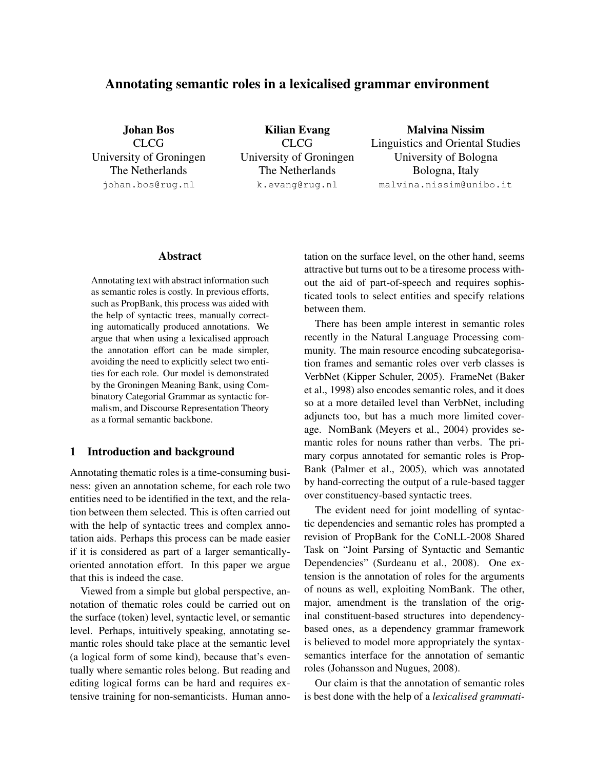# Annotating semantic roles in a lexicalised grammar environment

Johan Bos CLCG University of Groningen The Netherlands johan.bos@rug.nl

Kilian Evang CLCG University of Groningen The Netherlands k.evang@rug.nl

Malvina Nissim Linguistics and Oriental Studies University of Bologna Bologna, Italy malvina.nissim@unibo.it

### Abstract

Annotating text with abstract information such as semantic roles is costly. In previous efforts, such as PropBank, this process was aided with the help of syntactic trees, manually correcting automatically produced annotations. We argue that when using a lexicalised approach the annotation effort can be made simpler, avoiding the need to explicitly select two entities for each role. Our model is demonstrated by the Groningen Meaning Bank, using Combinatory Categorial Grammar as syntactic formalism, and Discourse Representation Theory as a formal semantic backbone.

### 1 Introduction and background

Annotating thematic roles is a time-consuming business: given an annotation scheme, for each role two entities need to be identified in the text, and the relation between them selected. This is often carried out with the help of syntactic trees and complex annotation aids. Perhaps this process can be made easier if it is considered as part of a larger semanticallyoriented annotation effort. In this paper we argue that this is indeed the case.

Viewed from a simple but global perspective, annotation of thematic roles could be carried out on the surface (token) level, syntactic level, or semantic level. Perhaps, intuitively speaking, annotating semantic roles should take place at the semantic level (a logical form of some kind), because that's eventually where semantic roles belong. But reading and editing logical forms can be hard and requires extensive training for non-semanticists. Human annotation on the surface level, on the other hand, seems attractive but turns out to be a tiresome process without the aid of part-of-speech and requires sophisticated tools to select entities and specify relations between them.

There has been ample interest in semantic roles recently in the Natural Language Processing community. The main resource encoding subcategorisation frames and semantic roles over verb classes is VerbNet (Kipper Schuler, 2005). FrameNet (Baker et al., 1998) also encodes semantic roles, and it does so at a more detailed level than VerbNet, including adjuncts too, but has a much more limited coverage. NomBank (Meyers et al., 2004) provides semantic roles for nouns rather than verbs. The primary corpus annotated for semantic roles is Prop-Bank (Palmer et al., 2005), which was annotated by hand-correcting the output of a rule-based tagger over constituency-based syntactic trees.

The evident need for joint modelling of syntactic dependencies and semantic roles has prompted a revision of PropBank for the CoNLL-2008 Shared Task on "Joint Parsing of Syntactic and Semantic Dependencies" (Surdeanu et al., 2008). One extension is the annotation of roles for the arguments of nouns as well, exploiting NomBank. The other, major, amendment is the translation of the original constituent-based structures into dependencybased ones, as a dependency grammar framework is believed to model more appropriately the syntaxsemantics interface for the annotation of semantic roles (Johansson and Nugues, 2008).

Our claim is that the annotation of semantic roles is best done with the help of a *lexicalised grammati-*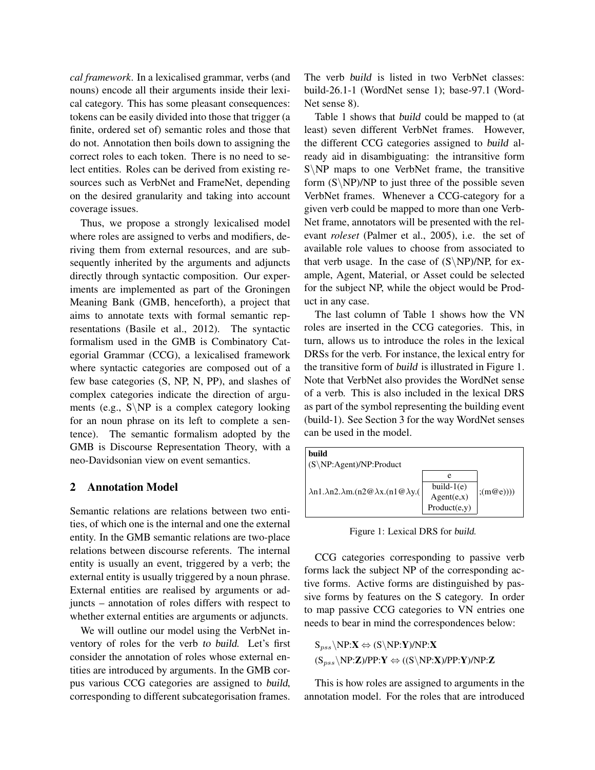*cal framework*. In a lexicalised grammar, verbs (and nouns) encode all their arguments inside their lexical category. This has some pleasant consequences: tokens can be easily divided into those that trigger (a finite, ordered set of) semantic roles and those that do not. Annotation then boils down to assigning the correct roles to each token. There is no need to select entities. Roles can be derived from existing resources such as VerbNet and FrameNet, depending on the desired granularity and taking into account coverage issues.

Thus, we propose a strongly lexicalised model where roles are assigned to verbs and modifiers, deriving them from external resources, and are subsequently inherited by the arguments and adjuncts directly through syntactic composition. Our experiments are implemented as part of the Groningen Meaning Bank (GMB, henceforth), a project that aims to annotate texts with formal semantic representations (Basile et al., 2012). The syntactic formalism used in the GMB is Combinatory Categorial Grammar (CCG), a lexicalised framework where syntactic categories are composed out of a few base categories (S, NP, N, PP), and slashes of complex categories indicate the direction of arguments (e.g.,  $S\ NP$  is a complex category looking for an noun phrase on its left to complete a sentence). The semantic formalism adopted by the GMB is Discourse Representation Theory, with a neo-Davidsonian view on event semantics.

### 2 Annotation Model

Semantic relations are relations between two entities, of which one is the internal and one the external entity. In the GMB semantic relations are two-place relations between discourse referents. The internal entity is usually an event, triggered by a verb; the external entity is usually triggered by a noun phrase. External entities are realised by arguments or adjuncts – annotation of roles differs with respect to whether external entities are arguments or adjuncts.

We will outline our model using the VerbNet inventory of roles for the verb to build. Let's first consider the annotation of roles whose external entities are introduced by arguments. In the GMB corpus various CCG categories are assigned to build, corresponding to different subcategorisation frames.

The verb build is listed in two VerbNet classes: build-26.1-1 (WordNet sense 1); base-97.1 (Word-Net sense 8).

Table 1 shows that build could be mapped to (at least) seven different VerbNet frames. However, the different CCG categories assigned to build already aid in disambiguating: the intransitive form S\NP maps to one VerbNet frame, the transitive form  $(S\NP)/NP$  to just three of the possible seven VerbNet frames. Whenever a CCG-category for a given verb could be mapped to more than one Verb-Net frame, annotators will be presented with the relevant *roleset* (Palmer et al., 2005), i.e. the set of available role values to choose from associated to that verb usage. In the case of  $(S\NP)/NP$ , for example, Agent, Material, or Asset could be selected for the subject NP, while the object would be Product in any case.

The last column of Table 1 shows how the VN roles are inserted in the CCG categories. This, in turn, allows us to introduce the roles in the lexical DRSs for the verb. For instance, the lexical entry for the transitive form of build is illustrated in Figure 1. Note that VerbNet also provides the WordNet sense of a verb. This is also included in the lexical DRS as part of the symbol representing the building event (build-1). See Section 3 for the way WordNet senses can be used in the model.



Figure 1: Lexical DRS for build.

CCG categories corresponding to passive verb forms lack the subject NP of the corresponding active forms. Active forms are distinguished by passive forms by features on the S category. In order to map passive CCG categories to VN entries one needs to bear in mind the correspondences below:

$$
S_{pss}\backslash NP:X \Leftrightarrow (S\backslash NP:Y)/NP:X
$$
  

$$
(S_{pss}\backslash NP:Z)/PP:Y \Leftrightarrow ((S\backslash NP:X)/PP:Y)/NP:Z
$$

This is how roles are assigned to arguments in the annotation model. For the roles that are introduced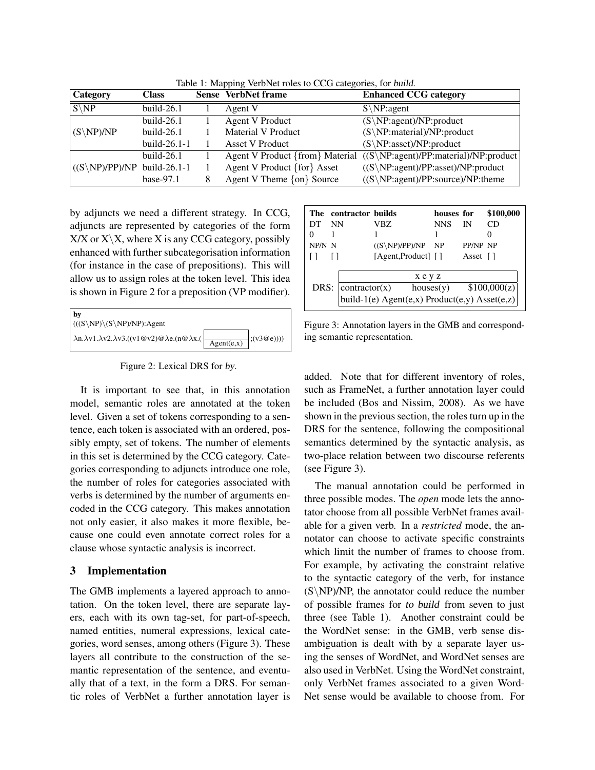| <b>Category</b>                         | <b>Class</b>    | <b>Sense VerbNet frame</b>             | <b>Enhanced CCG category</b>                       |
|-----------------------------------------|-----------------|----------------------------------------|----------------------------------------------------|
| $S\backslash NP$                        | $build-26.1$    | Agent V                                | $S\backslash NP: agent$                            |
|                                         | $build-26.1$    | <b>Agent V Product</b>                 | $(S\backslash NP:agent)/NP:product$                |
| $(S\backslash NP)/NP$                   | $build-26.1$    | Material V Product                     | $(S\NP:material)/NP:product$                       |
|                                         | build- $26.1-1$ | <b>Asset V Product</b>                 | $(S\backslash NP:asset)/NP:product$                |
|                                         | $build-26.1$    | Agent V Product {from} Material        | $((S\backslash NP:agent)/PP:material)/NP:product)$ |
| $((S\backslash NP)/PP)/NP$ build-26.1-1 |                 | Agent V Product {for} Asset            | $((S\backslash NP:agent)/PP:asset)/NP:product$     |
|                                         | $base-97.1$     | Agent V Theme $\{ \text{on} \}$ Source | $((S\backslash NP:agent)/PP:source)/NP: theme$     |

Table 1: Mapping VerbNet roles to CCG categories, for build.

by adjuncts we need a different strategy. In CCG, adjuncts are represented by categories of the form  $X/X$  or  $X\X$ , where X is any CCG category, possibly enhanced with further subcategorisation information (for instance in the case of prepositions). This will allow us to assign roles at the token level. This idea is shown in Figure 2 for a preposition (VP modifier).

| by<br>$\left( ((S\backslash NP)\backslash (S\backslash NP)/NP)$ :Agent                               |            |                 |
|------------------------------------------------------------------------------------------------------|------------|-----------------|
| $\lambda n.\lambda v1.\lambda v2.\lambda v3.((v1@v2)@ \lambda e.(n@ \lambda x.(\n\overline{\wedge})$ | Agent(e,x) | $\ket{(v3@e))}$ |

Figure 2: Lexical DRS for by.

It is important to see that, in this annotation model, semantic roles are annotated at the token level. Given a set of tokens corresponding to a sentence, each token is associated with an ordered, possibly empty, set of tokens. The number of elements in this set is determined by the CCG category. Categories corresponding to adjuncts introduce one role, the number of roles for categories associated with verbs is determined by the number of arguments encoded in the CCG category. This makes annotation not only easier, it also makes it more flexible, because one could even annotate correct roles for a clause whose syntactic analysis is incorrect.

## 3 Implementation

The GMB implements a layered approach to annotation. On the token level, there are separate layers, each with its own tag-set, for part-of-speech, named entities, numeral expressions, lexical categories, word senses, among others (Figure 3). These layers all contribute to the construction of the semantic representation of the sentence, and eventually that of a text, in the form a DRS. For semantic roles of VerbNet a further annotation layer is

|        |      | The contractor builds                         |                               |  | houses for |                                               | \$100,000 |  |  |
|--------|------|-----------------------------------------------|-------------------------------|--|------------|-----------------------------------------------|-----------|--|--|
| DТ     | - NN |                                               | VBZ.                          |  | <b>NNS</b> | IN                                            | СĐ        |  |  |
| 0      |      |                                               |                               |  |            |                                               |           |  |  |
| NP/N N |      |                                               | $((S\backslash NP)/PP)/NP$ NP |  |            | PP/NP NP                                      |           |  |  |
|        |      |                                               | [Agent,Product] []            |  |            | Asset $\lceil \cdot \rceil$                   |           |  |  |
|        |      | xeyz                                          |                               |  |            |                                               |           |  |  |
|        |      |                                               |                               |  |            | DRS: $ contractor(x)$ houses(y) $$100,000(z)$ |           |  |  |
|        |      | build-1(e) Agent(e,x) Product(e,y) Asset(e,z) |                               |  |            |                                               |           |  |  |

Figure 3: Annotation layers in the GMB and corresponding semantic representation.

added. Note that for different inventory of roles, such as FrameNet, a further annotation layer could be included (Bos and Nissim, 2008). As we have shown in the previous section, the roles turn up in the DRS for the sentence, following the compositional semantics determined by the syntactic analysis, as two-place relation between two discourse referents (see Figure 3).

The manual annotation could be performed in three possible modes. The *open* mode lets the annotator choose from all possible VerbNet frames available for a given verb. In a *restricted* mode, the annotator can choose to activate specific constraints which limit the number of frames to choose from. For example, by activating the constraint relative to the syntactic category of the verb, for instance  $(S\NP)/NP$ , the annotator could reduce the number of possible frames for to build from seven to just three (see Table 1). Another constraint could be the WordNet sense: in the GMB, verb sense disambiguation is dealt with by a separate layer using the senses of WordNet, and WordNet senses are also used in VerbNet. Using the WordNet constraint, only VerbNet frames associated to a given Word-Net sense would be available to choose from. For